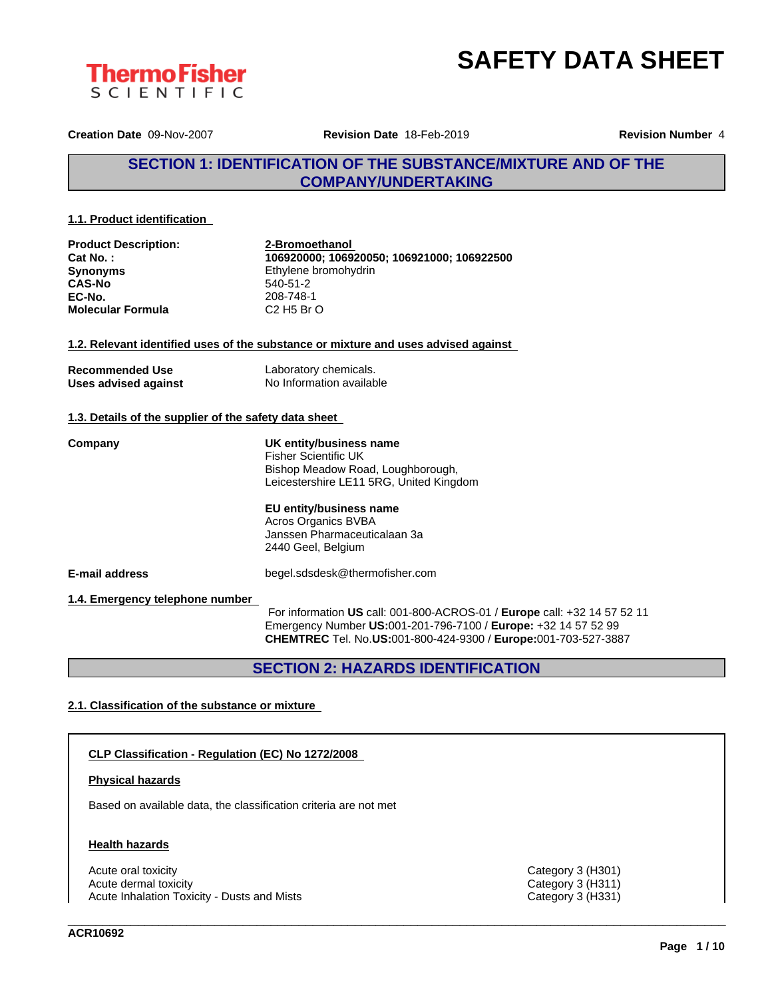



**Creation Date** 09-Nov-2007 **Revision Date** 18-Feb-2019 **Revision Number** 4

# **SECTION 1: IDENTIFICATION OF THE SUBSTANCE/MIXTURE AND OF THE COMPANY/UNDERTAKING**

### **1.1. Product identification**

| <b>Product Description:</b><br>Cat No.:<br><b>Synonyms</b><br><b>CAS-No</b> | 2-Bromoethanol<br>106920000; 106920050; 106921000; 106922500<br>Ethylene bromohydrin<br>540-51-2                                                                                                                                               |
|-----------------------------------------------------------------------------|------------------------------------------------------------------------------------------------------------------------------------------------------------------------------------------------------------------------------------------------|
| EC-No.<br><b>Molecular Formula</b>                                          | 208-748-1<br>$C2$ H <sub>5</sub> B <sub>r</sub> $O$                                                                                                                                                                                            |
|                                                                             |                                                                                                                                                                                                                                                |
|                                                                             | 1.2. Relevant identified uses of the substance or mixture and uses advised against                                                                                                                                                             |
| <b>Recommended Use</b><br>Uses advised against                              | Laboratory chemicals.<br>No Information available                                                                                                                                                                                              |
| 1.3. Details of the supplier of the safety data sheet                       |                                                                                                                                                                                                                                                |
| Company                                                                     | UK entity/business name<br><b>Fisher Scientific UK</b><br>Bishop Meadow Road, Loughborough,<br>Leicestershire LE11 5RG, United Kingdom<br>EU entity/business name<br>Acros Organics BVBA<br>Janssen Pharmaceuticalaan 3a<br>2440 Geel, Belgium |
| E-mail address                                                              | begel.sdsdesk@thermofisher.com                                                                                                                                                                                                                 |
| 1.4. Emergency telephone number                                             | For information US call: 001-800-ACROS-01 / Europe call: +32 14 57 52 11<br>Emergency Number US:001-201-796-7100 / Europe: +32 14 57 52 99<br>CHEMTREC Tel. No.US:001-800-424-9300 / Europe:001-703-527-3887                                   |

# **SECTION 2: HAZARDS IDENTIFICATION**

## **2.1. Classification of the substance or mixture**

#### **CLP Classification - Regulation (EC) No 1272/2008**

## **Physical hazards**

Based on available data, the classification criteria are not met

## **Health hazards**

Acute oral toxicity Category 3 (H301)<br>
Acute dermal toxicity Category 3 (H311)<br>
Category 3 (H311) Acute dermal toxicity<br>
Acute Inhalation Toxicity - Dusts and Mists<br>
Category 3 (H331) Acute Inhalation Toxicity - Dusts and Mists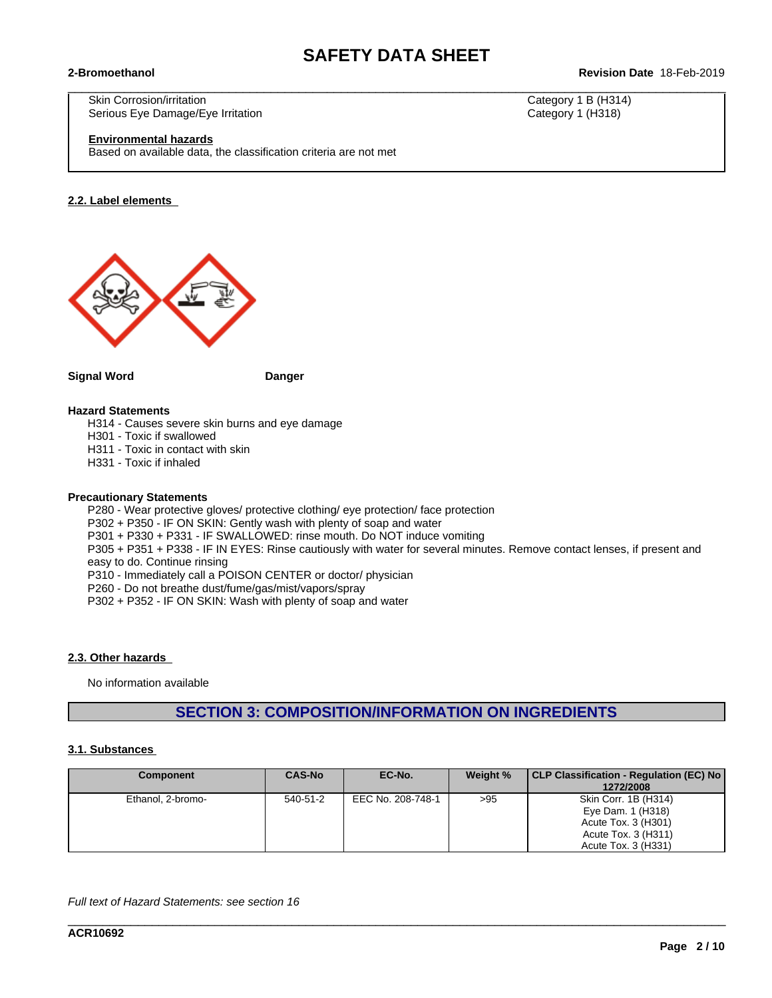$\_$  ,  $\_$  ,  $\_$  ,  $\_$  ,  $\_$  ,  $\_$  ,  $\_$  ,  $\_$  ,  $\_$  ,  $\_$  ,  $\_$  ,  $\_$  ,  $\_$  ,  $\_$  ,  $\_$  ,  $\_$  ,  $\_$  ,  $\_$  ,  $\_$  ,  $\_$  ,  $\_$  ,  $\_$  ,  $\_$  ,  $\_$  ,  $\_$  ,  $\_$  ,  $\_$  ,  $\_$  ,  $\_$  ,  $\_$  ,  $\_$  ,  $\_$  ,  $\_$  ,  $\_$  ,  $\_$  ,  $\_$  ,  $\_$  ,

### **2-Bromoethanol Revision Date** 18-Feb-2019

Skin Corrosion/irritation Category 1 B (H314) Serious Eye Damage/Eye Irritation **Category 1 (H318)** Category 1 (H318)

#### **Environmental hazards**

Based on available data, the classification criteria are not met

#### **2.2. Label elements**



**Signal Word Danger**

## **Hazard Statements**

H314 - Causes severe skin burns and eye damage

H301 - Toxic if swallowed

H311 - Toxic in contact with skin

H331 - Toxic if inhaled

#### **Precautionary Statements**

P280 - Wear protective gloves/ protective clothing/ eye protection/ face protection P302 + P350 - IF ON SKIN: Gently wash with plenty of soap and water P301 + P330 + P331 - IF SWALLOWED: rinse mouth. Do NOT induce vomiting P305 + P351 + P338 - IF IN EYES: Rinse cautiously with water for several minutes. Remove contact lenses, if present and easy to do. Continue rinsing P310 - Immediately call a POISON CENTER or doctor/ physician P260 - Do not breathe dust/fume/gas/mist/vapors/spray

P302 + P352 - IF ON SKIN: Wash with plenty of soap and water

### **2.3. Other hazards**

No information available

# **SECTION 3: COMPOSITION/INFORMATION ON INGREDIENTS**

#### **3.1. Substances**

| <b>Component</b>  | <b>CAS-No</b> | EC-No.            | Weight % | CLP Classification - Regulation (EC) No<br>1272/2008                                                           |
|-------------------|---------------|-------------------|----------|----------------------------------------------------------------------------------------------------------------|
| Ethanol, 2-bromo- | 540-51-2      | EEC No. 208-748-1 | >95      | Skin Corr. 1B (H314)<br>Eye Dam. 1 (H318)<br>Acute Tox. 3 (H301)<br>Acute Tox. 3 (H311)<br>Acute Tox. 3 (H331) |

\_\_\_\_\_\_\_\_\_\_\_\_\_\_\_\_\_\_\_\_\_\_\_\_\_\_\_\_\_\_\_\_\_\_\_\_\_\_\_\_\_\_\_\_\_\_\_\_\_\_\_\_\_\_\_\_\_\_\_\_\_\_\_\_\_\_\_\_\_\_\_\_\_\_\_\_\_\_\_\_\_\_\_\_\_\_\_\_\_\_\_\_\_\_

*Full text of Hazard Statements: see section 16*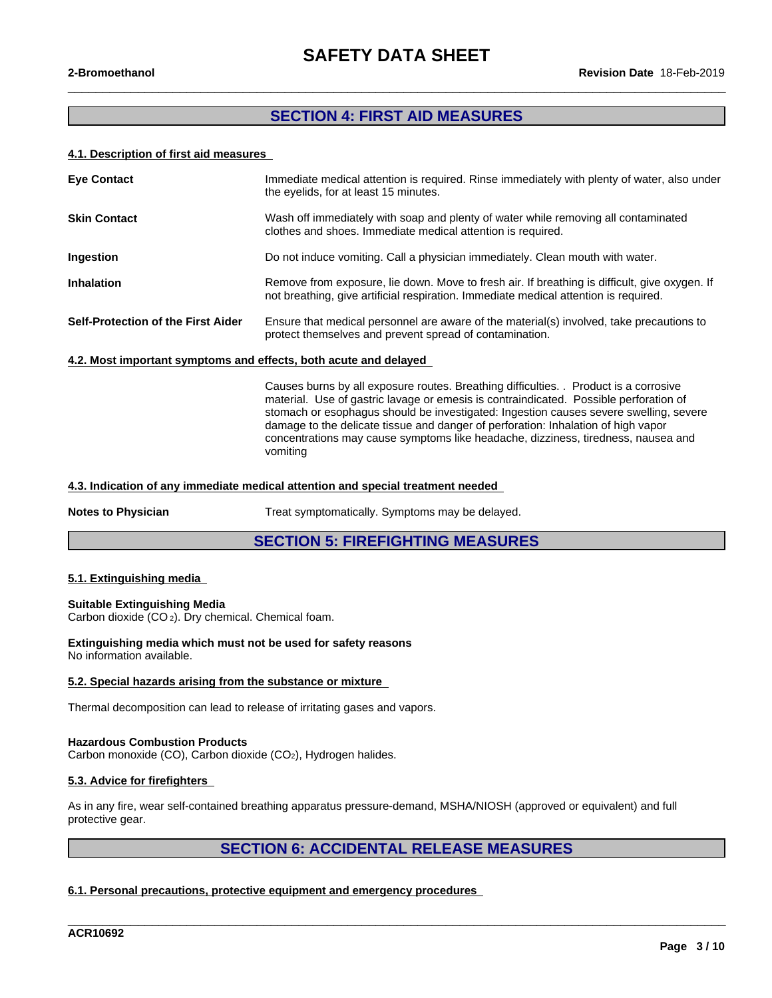$\_$  ,  $\_$  ,  $\_$  ,  $\_$  ,  $\_$  ,  $\_$  ,  $\_$  ,  $\_$  ,  $\_$  ,  $\_$  ,  $\_$  ,  $\_$  ,  $\_$  ,  $\_$  ,  $\_$  ,  $\_$  ,  $\_$  ,  $\_$  ,  $\_$  ,  $\_$  ,  $\_$  ,  $\_$  ,  $\_$  ,  $\_$  ,  $\_$  ,  $\_$  ,  $\_$  ,  $\_$  ,  $\_$  ,  $\_$  ,  $\_$  ,  $\_$  ,  $\_$  ,  $\_$  ,  $\_$  ,  $\_$  ,  $\_$  ,

# **SECTION 4: FIRST AID MEASURES**

### **4.1. Description of first aid measures**

| <b>Eye Contact</b>                                               | Immediate medical attention is required. Rinse immediately with plenty of water, also under<br>the eyelids, for at least 15 minutes.                                                  |  |
|------------------------------------------------------------------|---------------------------------------------------------------------------------------------------------------------------------------------------------------------------------------|--|
| <b>Skin Contact</b>                                              | Wash off immediately with soap and plenty of water while removing all contaminated<br>clothes and shoes. Immediate medical attention is required.                                     |  |
| Ingestion                                                        | Do not induce vomiting. Call a physician immediately. Clean mouth with water.                                                                                                         |  |
| <b>Inhalation</b>                                                | Remove from exposure, lie down. Move to fresh air. If breathing is difficult, give oxygen. If<br>not breathing, give artificial respiration. Immediate medical attention is required. |  |
| <b>Self-Protection of the First Aider</b>                        | Ensure that medical personnel are aware of the material(s) involved, take precautions to<br>protect themselves and prevent spread of contamination.                                   |  |
| 4.2. Most important symptoms and effects, both acute and delayed |                                                                                                                                                                                       |  |

Causes burns by all exposure routes. Breathing difficulties. . Product is a corrosive material. Use of gastric lavage or emesis is contraindicated. Possible perforation of stomach or esophagus should be investigated: Ingestion causes severe swelling, severe damage to the delicate tissue and danger of perforation: Inhalation of high vapor concentrations may cause symptoms like headache, dizziness, tiredness, nausea and vomiting

#### **4.3. Indication of any immediate medical attention and special treatment needed**

**Notes to Physician** Treat symptomatically. Symptoms may be delayed.

## **SECTION 5: FIREFIGHTING MEASURES**

#### **5.1. Extinguishing media**

#### **Suitable Extinguishing Media**

Carbon dioxide (CO 2). Dry chemical. Chemical foam.

# **Extinguishing media which must not be used for safety reasons**

No information available.

#### **5.2. Special hazards arising from the substance or mixture**

Thermal decomposition can lead to release of irritating gases and vapors.

#### **Hazardous Combustion Products**

Carbon monoxide (CO), Carbon dioxide (CO<sub>2</sub>), Hydrogen halides.

#### **5.3. Advice for firefighters**

As in any fire, wear self-contained breathing apparatus pressure-demand, MSHA/NIOSH (approved or equivalent) and full protective gear.

# **SECTION 6: ACCIDENTAL RELEASE MEASURES**

\_\_\_\_\_\_\_\_\_\_\_\_\_\_\_\_\_\_\_\_\_\_\_\_\_\_\_\_\_\_\_\_\_\_\_\_\_\_\_\_\_\_\_\_\_\_\_\_\_\_\_\_\_\_\_\_\_\_\_\_\_\_\_\_\_\_\_\_\_\_\_\_\_\_\_\_\_\_\_\_\_\_\_\_\_\_\_\_\_\_\_\_\_\_

## **6.1. Personal precautions, protective equipment and emergency procedures**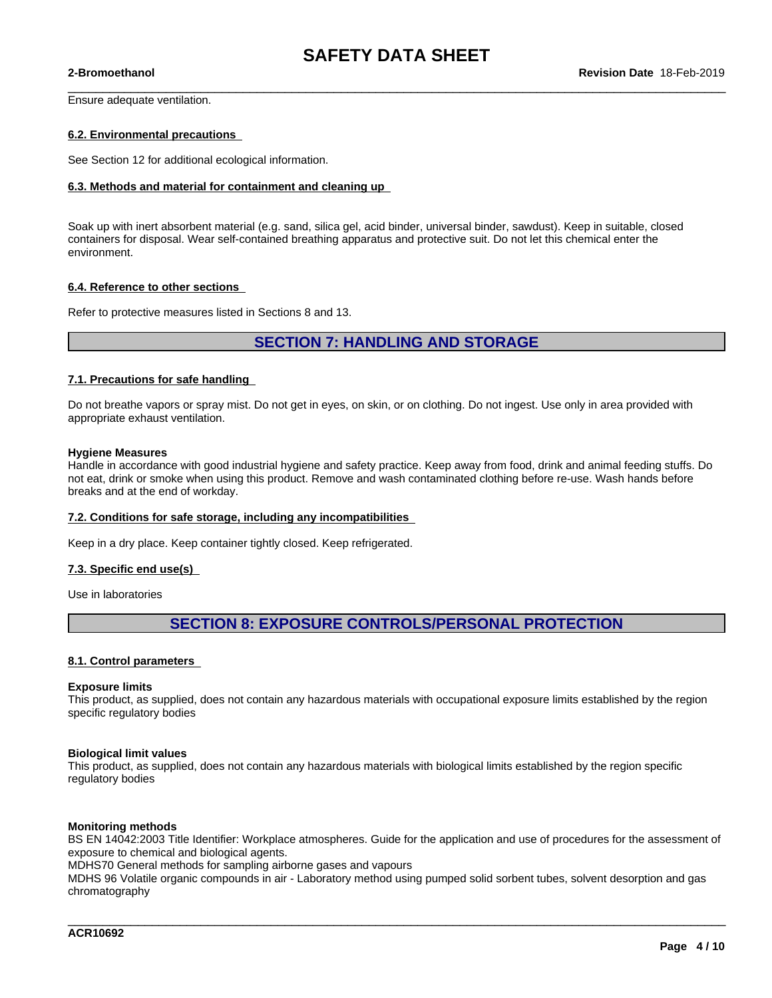$\_$  ,  $\_$  ,  $\_$  ,  $\_$  ,  $\_$  ,  $\_$  ,  $\_$  ,  $\_$  ,  $\_$  ,  $\_$  ,  $\_$  ,  $\_$  ,  $\_$  ,  $\_$  ,  $\_$  ,  $\_$  ,  $\_$  ,  $\_$  ,  $\_$  ,  $\_$  ,  $\_$  ,  $\_$  ,  $\_$  ,  $\_$  ,  $\_$  ,  $\_$  ,  $\_$  ,  $\_$  ,  $\_$  ,  $\_$  ,  $\_$  ,  $\_$  ,  $\_$  ,  $\_$  ,  $\_$  ,  $\_$  ,  $\_$  ,

Ensure adequate ventilation.

#### **6.2. Environmental precautions**

See Section 12 for additional ecological information.

#### **6.3. Methods and material for containment and cleaning up**

Soak up with inert absorbent material (e.g. sand, silica gel, acid binder, universal binder, sawdust). Keep in suitable, closed containers for disposal. Wear self-contained breathing apparatus and protective suit. Do notlet this chemical enter the environment.

#### **6.4. Reference to other sections**

Refer to protective measures listed in Sections 8 and 13.

## **SECTION 7: HANDLING AND STORAGE**

#### **7.1. Precautions for safe handling**

Do not breathe vapors or spray mist. Do not get in eyes, on skin, or on clothing. Do not ingest. Use only in area provided with appropriate exhaust ventilation.

#### **Hygiene Measures**

Handle in accordance with good industrial hygiene and safety practice. Keep away from food, drink and animal feeding stuffs. Do not eat, drink or smoke when using this product. Remove and wash contaminated clothing before re-use. Wash hands before breaks and at the end of workday.

#### **7.2. Conditions for safe storage, including any incompatibilities**

Keep in a dry place. Keep container tightly closed. Keep refrigerated.

#### **7.3. Specific end use(s)**

Use in laboratories

# **SECTION 8: EXPOSURE CONTROLS/PERSONAL PROTECTION**

#### **8.1. Control parameters**

#### **Exposure limits**

This product, as supplied, does not contain any hazardous materials with occupational exposure limits established by the region specific regulatory bodies

#### **Biological limit values**

This product, as supplied, does not contain any hazardous materials with biological limits established by the region specific regulatory bodies

#### **Monitoring methods**

BS EN 14042:2003 Title Identifier: Workplace atmospheres. Guide for the application and use of procedures for the assessment of exposure to chemical and biological agents.

\_\_\_\_\_\_\_\_\_\_\_\_\_\_\_\_\_\_\_\_\_\_\_\_\_\_\_\_\_\_\_\_\_\_\_\_\_\_\_\_\_\_\_\_\_\_\_\_\_\_\_\_\_\_\_\_\_\_\_\_\_\_\_\_\_\_\_\_\_\_\_\_\_\_\_\_\_\_\_\_\_\_\_\_\_\_\_\_\_\_\_\_\_\_

MDHS70 General methods for sampling airborne gases and vapours

MDHS 96 Volatile organic compounds in air - Laboratory method using pumped solid sorbent tubes, solvent desorption and gas chromatography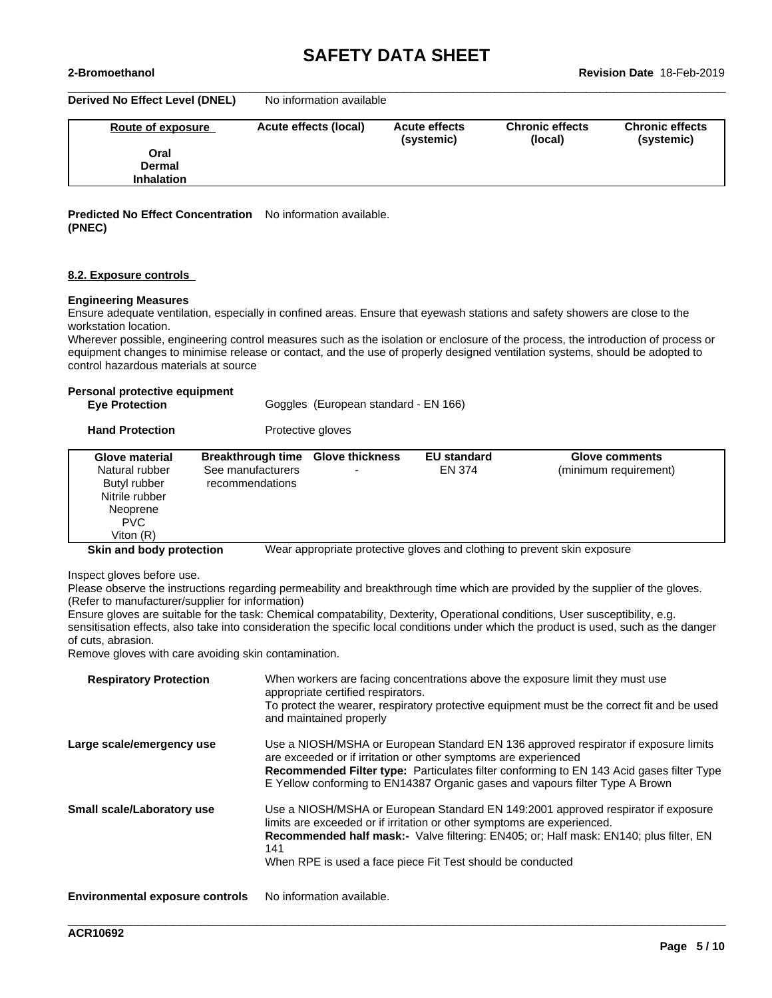**Derived No Effect Level (DNEL)** No information available

| Route of exposure | Acute effects (local) | <b>Acute effects</b><br>(systemic) | <b>Chronic effects</b><br>(local) | <b>Chronic effects</b><br>(systemic) |
|-------------------|-----------------------|------------------------------------|-----------------------------------|--------------------------------------|
|                   |                       |                                    |                                   |                                      |
| Oral              |                       |                                    |                                   |                                      |
| Dermal            |                       |                                    |                                   |                                      |
| <b>Inhalation</b> |                       |                                    |                                   |                                      |
|                   |                       |                                    |                                   |                                      |

 $\_$  ,  $\_$  ,  $\_$  ,  $\_$  ,  $\_$  ,  $\_$  ,  $\_$  ,  $\_$  ,  $\_$  ,  $\_$  ,  $\_$  ,  $\_$  ,  $\_$  ,  $\_$  ,  $\_$  ,  $\_$  ,  $\_$  ,  $\_$  ,  $\_$  ,  $\_$  ,  $\_$  ,  $\_$  ,  $\_$  ,  $\_$  ,  $\_$  ,  $\_$  ,  $\_$  ,  $\_$  ,  $\_$  ,  $\_$  ,  $\_$  ,  $\_$  ,  $\_$  ,  $\_$  ,  $\_$  ,  $\_$  ,  $\_$  ,

#### **Predicted No Effect Concentration** No information available. **(PNEC)**

#### **8.2. Exposure controls**

#### **Engineering Measures**

Ensure adequate ventilation, especially in confined areas. Ensure that eyewash stations and safety showers are close to the workstation location.

Wherever possible, engineering control measures such as the isolation or enclosure of the process, the introduction of process or equipment changes to minimise release or contact, and the use of properly designed ventilation systems, should be adopted to control hazardous materials at source

#### **Personal protective equipment**

**Hand Protection** Protective gloves

| Glove material                                   | <b>Breakthrough time</b>             | <b>Glove thickness</b> | <b>EU standard</b> | <b>Glove comments</b>                                                    |
|--------------------------------------------------|--------------------------------------|------------------------|--------------------|--------------------------------------------------------------------------|
| Natural rubber<br>Butyl rubber<br>Nitrile rubber | See manufacturers<br>recommendations |                        | EN 374             | (minimum requirement)                                                    |
| Neoprene<br>PVC.<br>Viton $(R)$                  |                                      |                        |                    |                                                                          |
| Skin and body protection                         |                                      |                        |                    | Wear appropriate protective gloves and clothing to prevent skin exposure |

Inspect gloves before use.

Please observe the instructions regarding permeability and breakthrough time which are provided by the supplier of the gloves. (Refer to manufacturer/supplier for information)

Ensure gloves are suitable for the task: Chemical compatability, Dexterity, Operational conditions, User susceptibility, e.g. sensitisation effects, also take into consideration the specific local conditions under which the product is used, such as the danger of cuts, abrasion.

Remove gloves with care avoiding skin contamination.

| <b>Respiratory Protection</b>          | When workers are facing concentrations above the exposure limit they must use<br>appropriate certified respirators.<br>To protect the wearer, respiratory protective equipment must be the correct fit and be used<br>and maintained properly                                                                                             |
|----------------------------------------|-------------------------------------------------------------------------------------------------------------------------------------------------------------------------------------------------------------------------------------------------------------------------------------------------------------------------------------------|
| Large scale/emergency use              | Use a NIOSH/MSHA or European Standard EN 136 approved respirator if exposure limits<br>are exceeded or if irritation or other symptoms are experienced<br><b>Recommended Filter type:</b> Particulates filter conforming to EN 143 Acid gases filter Type<br>E Yellow conforming to EN14387 Organic gases and vapours filter Type A Brown |
| <b>Small scale/Laboratory use</b>      | Use a NIOSH/MSHA or European Standard EN 149:2001 approved respirator if exposure<br>limits are exceeded or if irritation or other symptoms are experienced.<br>Recommended half mask:- Valve filtering: EN405; or; Half mask: EN140; plus filter, EN<br>141<br>When RPE is used a face piece Fit Test should be conducted                |
| <b>Environmental exposure controls</b> | No information available.                                                                                                                                                                                                                                                                                                                 |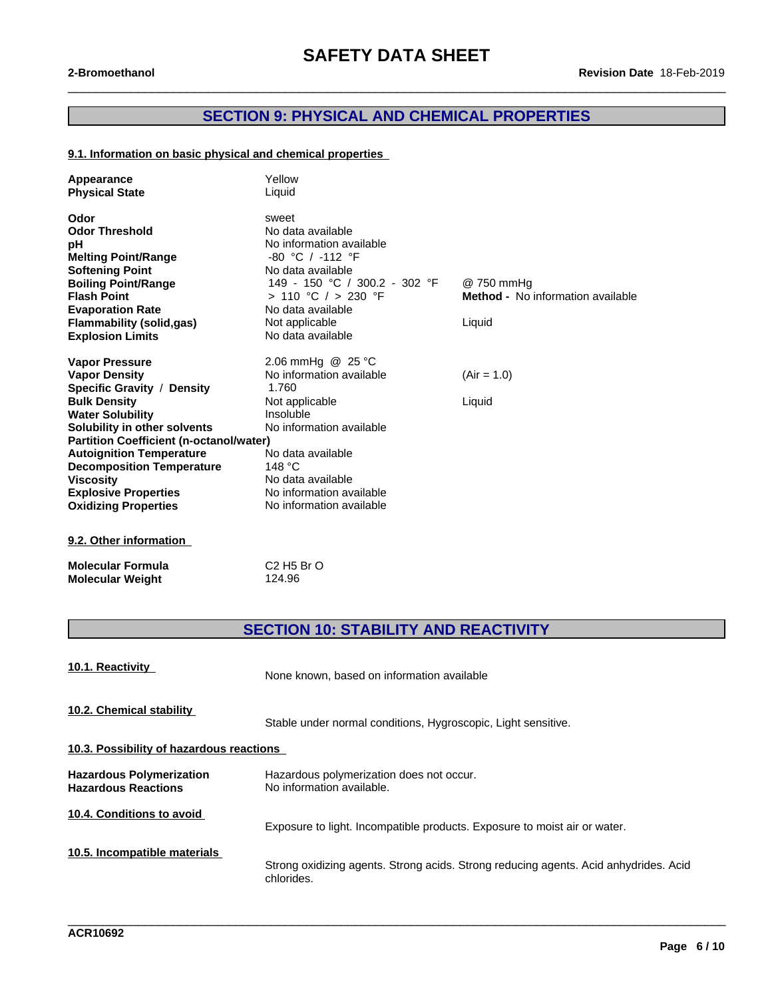# **SECTION 9: PHYSICAL AND CHEMICAL PROPERTIES**

 $\_$  ,  $\_$  ,  $\_$  ,  $\_$  ,  $\_$  ,  $\_$  ,  $\_$  ,  $\_$  ,  $\_$  ,  $\_$  ,  $\_$  ,  $\_$  ,  $\_$  ,  $\_$  ,  $\_$  ,  $\_$  ,  $\_$  ,  $\_$  ,  $\_$  ,  $\_$  ,  $\_$  ,  $\_$  ,  $\_$  ,  $\_$  ,  $\_$  ,  $\_$  ,  $\_$  ,  $\_$  ,  $\_$  ,  $\_$  ,  $\_$  ,  $\_$  ,  $\_$  ,  $\_$  ,  $\_$  ,  $\_$  ,  $\_$  ,

## **9.1. Information on basic physical and chemical properties**

| Appearance<br><b>Physical State</b>            | Yellow<br>Liquid              |                                          |
|------------------------------------------------|-------------------------------|------------------------------------------|
| Odor                                           | sweet                         |                                          |
| <b>Odor Threshold</b>                          | No data available             |                                          |
| pH                                             | No information available      |                                          |
| <b>Melting Point/Range</b>                     | $-80$ °C / $-112$ °F          |                                          |
| <b>Softening Point</b>                         | No data available             |                                          |
| <b>Boiling Point/Range</b>                     | 149 - 150 °C / 300.2 - 302 °F | @ 750 mmHq                               |
| <b>Flash Point</b>                             | > 110 °C / > 230 °F           | <b>Method -</b> No information available |
| <b>Evaporation Rate</b>                        | No data available             |                                          |
| <b>Flammability (solid,gas)</b>                | Not applicable                | Liquid                                   |
| <b>Explosion Limits</b>                        | No data available             |                                          |
| <b>Vapor Pressure</b>                          | 2.06 mmHg @ 25 °C             |                                          |
| <b>Vapor Density</b>                           | No information available      | $(Air = 1.0)$                            |
| Specific Gravity / Density                     | 1.760                         |                                          |
| <b>Bulk Density</b>                            | Not applicable                | Liquid                                   |
| <b>Water Solubility</b>                        | Insoluble                     |                                          |
| Solubility in other solvents                   | No information available      |                                          |
| <b>Partition Coefficient (n-octanol/water)</b> |                               |                                          |
| <b>Autoignition Temperature</b>                | No data available             |                                          |
| <b>Decomposition Temperature</b>               | 148 $^{\circ}$ C              |                                          |
| <b>Viscosity</b>                               | No data available             |                                          |
| <b>Explosive Properties</b>                    | No information available      |                                          |
| <b>Oxidizing Properties</b>                    | No information available      |                                          |
| 9.2. Other information                         |                               |                                          |
|                                                |                               |                                          |

| <b>Molecular Formula</b> |  |
|--------------------------|--|
| <b>Molecular Weight</b>  |  |

**Molecular Formula** C2 H5 Br O **Molecular Weight** 124.96

# **SECTION 10: STABILITY AND REACTIVITY**

| 10.1. Reactivity                                              | None known, based on information available                                                         |
|---------------------------------------------------------------|----------------------------------------------------------------------------------------------------|
| 10.2. Chemical stability                                      | Stable under normal conditions, Hygroscopic, Light sensitive.                                      |
| 10.3. Possibility of hazardous reactions                      |                                                                                                    |
| <b>Hazardous Polymerization</b><br><b>Hazardous Reactions</b> | Hazardous polymerization does not occur.<br>No information available.                              |
| 10.4. Conditions to avoid                                     | Exposure to light. Incompatible products. Exposure to moist air or water.                          |
| 10.5. Incompatible materials                                  | Strong oxidizing agents. Strong acids. Strong reducing agents. Acid anhydrides. Acid<br>chlorides. |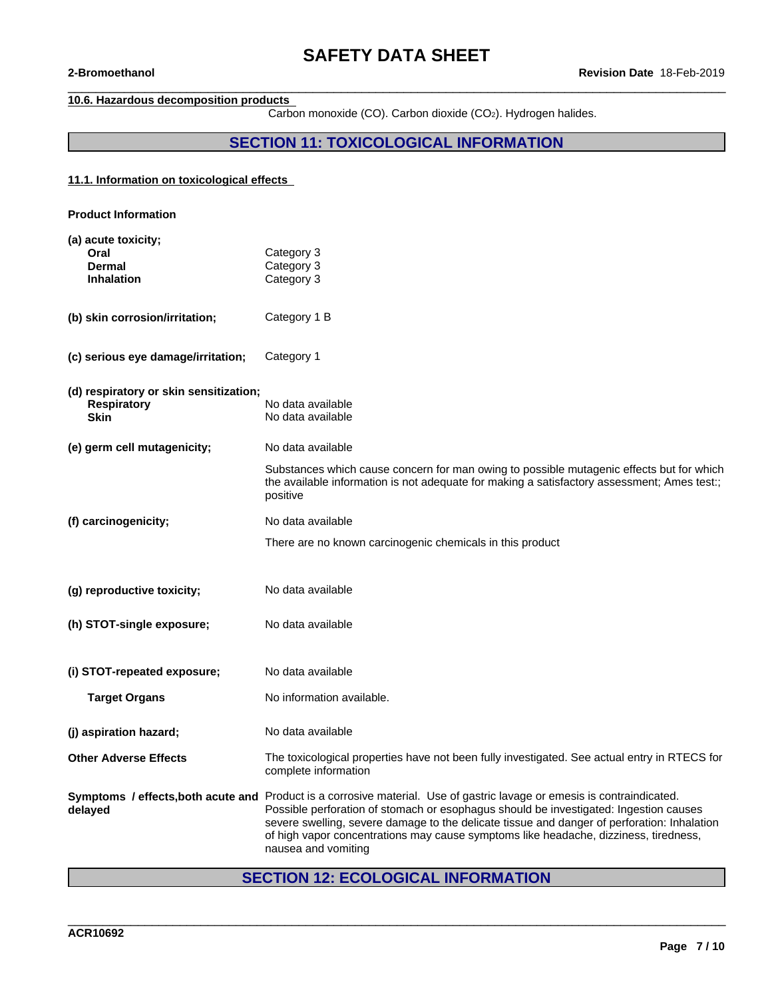## **10.6. Hazardous decomposition products**

Carbon monoxide (CO). Carbon dioxide (CO2). Hydrogen halides.

 $\_$  ,  $\_$  ,  $\_$  ,  $\_$  ,  $\_$  ,  $\_$  ,  $\_$  ,  $\_$  ,  $\_$  ,  $\_$  ,  $\_$  ,  $\_$  ,  $\_$  ,  $\_$  ,  $\_$  ,  $\_$  ,  $\_$  ,  $\_$  ,  $\_$  ,  $\_$  ,  $\_$  ,  $\_$  ,  $\_$  ,  $\_$  ,  $\_$  ,  $\_$  ,  $\_$  ,  $\_$  ,  $\_$  ,  $\_$  ,  $\_$  ,  $\_$  ,  $\_$  ,  $\_$  ,  $\_$  ,  $\_$  ,  $\_$  ,

# **SECTION 11: TOXICOLOGICAL INFORMATION**

## **11.1. Information on toxicologicaleffects**

| <b>Product Information</b>                                                  |                                                                                                                                                                                                                                                                                                                                                                                             |
|-----------------------------------------------------------------------------|---------------------------------------------------------------------------------------------------------------------------------------------------------------------------------------------------------------------------------------------------------------------------------------------------------------------------------------------------------------------------------------------|
| (a) acute toxicity;<br>Oral<br><b>Dermal</b><br><b>Inhalation</b>           | Category 3<br>Category 3<br>Category 3                                                                                                                                                                                                                                                                                                                                                      |
| (b) skin corrosion/irritation;                                              | Category 1 B                                                                                                                                                                                                                                                                                                                                                                                |
| (c) serious eye damage/irritation;                                          | Category 1                                                                                                                                                                                                                                                                                                                                                                                  |
| (d) respiratory or skin sensitization;<br><b>Respiratory</b><br><b>Skin</b> | No data available<br>No data available                                                                                                                                                                                                                                                                                                                                                      |
| (e) germ cell mutagenicity;                                                 | No data available                                                                                                                                                                                                                                                                                                                                                                           |
|                                                                             | Substances which cause concern for man owing to possible mutagenic effects but for which<br>the available information is not adequate for making a satisfactory assessment; Ames test:;<br>positive                                                                                                                                                                                         |
| (f) carcinogenicity;                                                        | No data available                                                                                                                                                                                                                                                                                                                                                                           |
|                                                                             | There are no known carcinogenic chemicals in this product                                                                                                                                                                                                                                                                                                                                   |
| (g) reproductive toxicity;                                                  | No data available                                                                                                                                                                                                                                                                                                                                                                           |
| (h) STOT-single exposure;                                                   | No data available                                                                                                                                                                                                                                                                                                                                                                           |
| (i) STOT-repeated exposure;                                                 | No data available                                                                                                                                                                                                                                                                                                                                                                           |
| <b>Target Organs</b>                                                        | No information available.                                                                                                                                                                                                                                                                                                                                                                   |
| (j) aspiration hazard;                                                      | No data available                                                                                                                                                                                                                                                                                                                                                                           |
| <b>Other Adverse Effects</b>                                                | The toxicological properties have not been fully investigated. See actual entry in RTECS for<br>complete information                                                                                                                                                                                                                                                                        |
| Symptoms / effects, both acute and<br>delayed                               | Product is a corrosive material. Use of gastric lavage or emesis is contraindicated.<br>Possible perforation of stomach or esophagus should be investigated: Ingestion causes<br>severe swelling, severe damage to the delicate tissue and danger of perforation: Inhalation<br>of high vapor concentrations may cause symptoms like headache, dizziness, tiredness,<br>nausea and vomiting |

# **SECTION 12: ECOLOGICAL INFORMATION**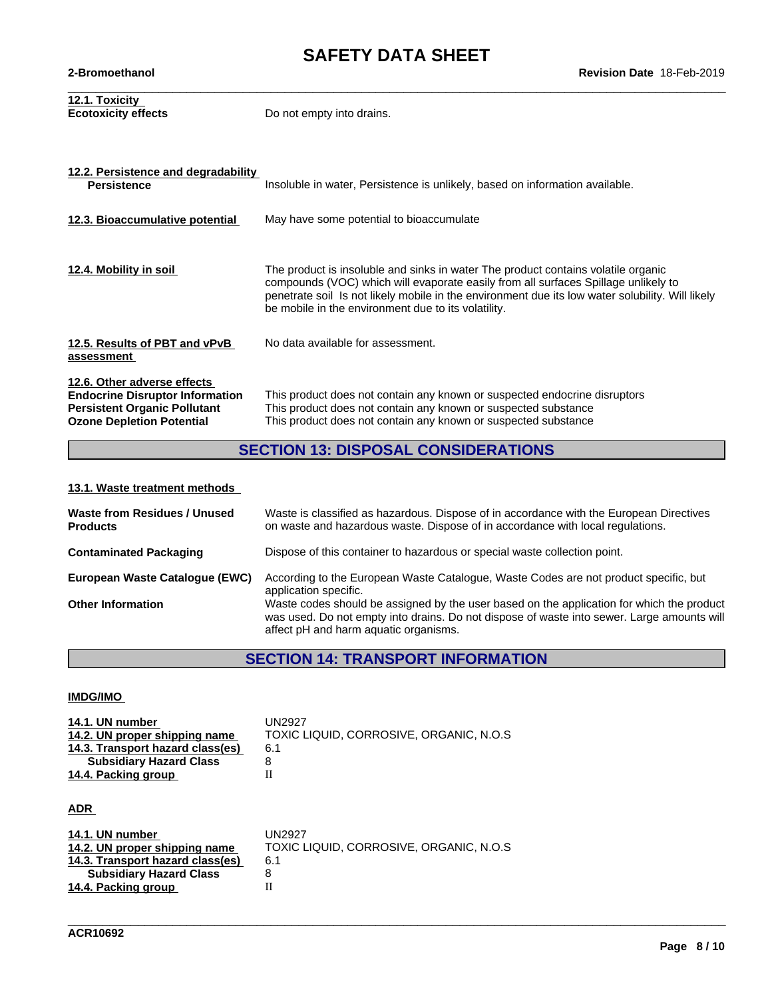| 12.2. Persistence and degradability<br><b>Persistence</b>                                                                                        | Insoluble in water, Persistence is unlikely, based on information available.                                                                                                                                                                                                                                                       |
|--------------------------------------------------------------------------------------------------------------------------------------------------|------------------------------------------------------------------------------------------------------------------------------------------------------------------------------------------------------------------------------------------------------------------------------------------------------------------------------------|
| 12.3. Bioaccumulative potential                                                                                                                  | May have some potential to bioaccumulate                                                                                                                                                                                                                                                                                           |
| 12.4. Mobility in soil                                                                                                                           | The product is insoluble and sinks in water The product contains volatile organic<br>compounds (VOC) which will evaporate easily from all surfaces Spillage unlikely to<br>penetrate soil Is not likely mobile in the environment due its low water solubility. Will likely<br>be mobile in the environment due to its volatility. |
| 12.5. Results of PBT and vPvB<br>assessment                                                                                                      | No data available for assessment.                                                                                                                                                                                                                                                                                                  |
| 12.6. Other adverse effects<br><b>Endocrine Disruptor Information</b><br><b>Persistent Organic Pollutant</b><br><b>Ozone Depletion Potential</b> | This product does not contain any known or suspected endocrine disruptors<br>This product does not contain any known or suspected substance<br>This product does not contain any known or suspected substance                                                                                                                      |

# **SECTION 13: DISPOSAL CONSIDERATIONS**

# **13.1. Waste treatment methods**

| Waste from Residues / Unused<br><b>Products</b> | Waste is classified as hazardous. Dispose of in accordance with the European Directives<br>on waste and hazardous waste. Dispose of in accordance with local regulations.                                                        |
|-------------------------------------------------|----------------------------------------------------------------------------------------------------------------------------------------------------------------------------------------------------------------------------------|
| <b>Contaminated Packaging</b>                   | Dispose of this container to hazardous or special waste collection point.                                                                                                                                                        |
| European Waste Cataloque (EWC)                  | According to the European Waste Catalogue, Waste Codes are not product specific, but<br>application specific.                                                                                                                    |
| <b>Other Information</b>                        | Waste codes should be assigned by the user based on the application for which the product<br>was used. Do not empty into drains. Do not dispose of waste into sewer. Large amounts will<br>affect pH and harm aquatic organisms. |

# **SECTION 14: TRANSPORT INFORMATION**

\_\_\_\_\_\_\_\_\_\_\_\_\_\_\_\_\_\_\_\_\_\_\_\_\_\_\_\_\_\_\_\_\_\_\_\_\_\_\_\_\_\_\_\_\_\_\_\_\_\_\_\_\_\_\_\_\_\_\_\_\_\_\_\_\_\_\_\_\_\_\_\_\_\_\_\_\_\_\_\_\_\_\_\_\_\_\_\_\_\_\_\_\_\_

## **IMDG/IMO**

| 14.1. UN number                  | UN2927                                   |
|----------------------------------|------------------------------------------|
| 14.2. UN proper shipping name    | TOXIC LIQUID, CORROSIVE, ORGANIC, N.O.S. |
| 14.3. Transport hazard class(es) | 6.1                                      |
| <b>Subsidiary Hazard Class</b>   |                                          |
| 14.4. Packing group              |                                          |
|                                  |                                          |
|                                  |                                          |

## **ADR**

| 14.1. UN number<br>14.2. UN proper shipping name<br>14.3. Transport hazard class(es)<br><b>Subsidiary Hazard Class</b> | UN2927<br>TOXIC LIQUID, CORROSIVE, ORGANIC, N.O.S.<br>6.1 |
|------------------------------------------------------------------------------------------------------------------------|-----------------------------------------------------------|
| 14.4. Packing group                                                                                                    |                                                           |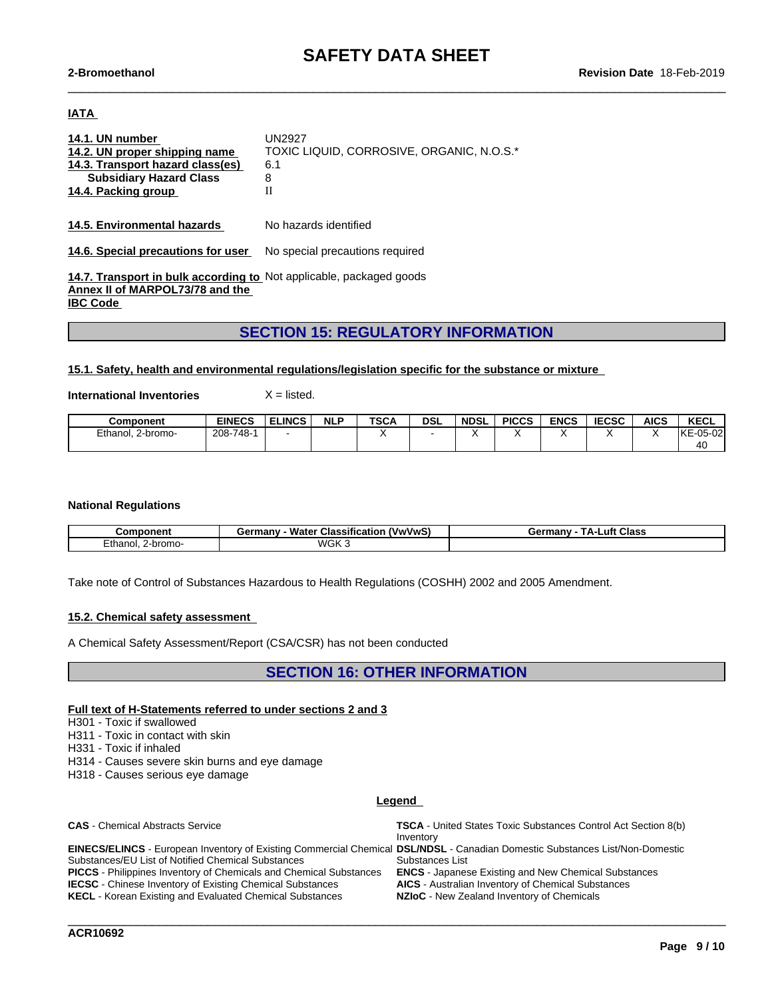$\_$  ,  $\_$  ,  $\_$  ,  $\_$  ,  $\_$  ,  $\_$  ,  $\_$  ,  $\_$  ,  $\_$  ,  $\_$  ,  $\_$  ,  $\_$  ,  $\_$  ,  $\_$  ,  $\_$  ,  $\_$  ,  $\_$  ,  $\_$  ,  $\_$  ,  $\_$  ,  $\_$  ,  $\_$  ,  $\_$  ,  $\_$  ,  $\_$  ,  $\_$  ,  $\_$  ,  $\_$  ,  $\_$  ,  $\_$  ,  $\_$  ,  $\_$  ,  $\_$  ,  $\_$  ,  $\_$  ,  $\_$  ,  $\_$  ,

## **IATA**

| 14.1. UN number<br>14.2. UN proper shipping name<br>14.3. Transport hazard class(es)<br><b>Subsidiary Hazard Class</b><br>14.4. Packing group | UN2927<br>TOXIC LIQUID, CORROSIVE, ORGANIC, N.O.S.*<br>6.1<br>8<br>Н |
|-----------------------------------------------------------------------------------------------------------------------------------------------|----------------------------------------------------------------------|
| 14.5. Environmental hazards                                                                                                                   | No hazards identified                                                |
| 14.6. Special precautions for user                                                                                                            | No special precautions required                                      |

**14.7. Transport in bulk according to** Not applicable, packaged goods **Annex II of MARPOL73/78 and the IBC Code** 

## **SECTION 15: REGULATORY INFORMATION**

#### **15.1. Safety, health and environmental regulations/legislation specific for the substance or mixture**

**International Inventories** X = listed.

| Component         | <b>EINECS</b> | <b>ELINCS</b> | <b>NLP</b> | <b>TSCA</b> | DSL | <b>NDSL</b> | <b>PICCS</b> | <b>ENCS</b> | <b>IECCC</b><br>IECSC | <b>AICS</b> | <b>KECL</b>                 |
|-------------------|---------------|---------------|------------|-------------|-----|-------------|--------------|-------------|-----------------------|-------------|-----------------------------|
| Ethanol, 2-bromo- | 208-748-      |               |            |             |     |             |              |             |                       |             | lke<br>≟-05-02 <sup>1</sup> |
|                   |               |               |            |             |     |             |              |             |                       |             | $\overline{10}$<br>40       |

#### **National Regulations**

| Component               | (VwVwS)<br>Classification<br>∃ermanv⊹<br>- Water<br>uu | ТΔ.,<br>Luft Class<br>Germany |
|-------------------------|--------------------------------------------------------|-------------------------------|
| Ethanol<br>-bromo-<br>. | WGK <sub>3</sub>                                       |                               |

Take note of Control of Substances Hazardous to Health Regulations (COSHH) 2002 and 2005 Amendment.

#### **15.2. Chemical safety assessment**

A Chemical Safety Assessment/Report (CSA/CSR) has not been conducted

## **SECTION 16: OTHER INFORMATION**

### **Full text of H-Statements referred to undersections 2 and 3**

H301 - Toxic if swallowed

H311 - Toxic in contact with skin

H331 - Toxic if inhaled

H314 - Causes severe skin burns and eye damage

H318 - Causes serious eye damage

#### **Legend**

| <b>CAS</b> - Chemical Abstracts Service                                                                                             | <b>TSCA</b> - United States Toxic Substances Control Act Section 8(b) |
|-------------------------------------------------------------------------------------------------------------------------------------|-----------------------------------------------------------------------|
|                                                                                                                                     | Inventory                                                             |
| <b>EINECS/ELINCS</b> - European Inventory of Existing Commercial Chemical DSL/NDSL - Canadian Domestic Substances List/Non-Domestic |                                                                       |
| Substances/EU List of Notified Chemical Substances                                                                                  | Substances List                                                       |
| <b>PICCS</b> - Philippines Inventory of Chemicals and Chemical Substances                                                           | <b>ENCS</b> - Japanese Existing and New Chemical Substances           |
| <b>IECSC</b> - Chinese Inventory of Existing Chemical Substances                                                                    | <b>AICS</b> - Australian Inventory of Chemical Substances             |
| <b>KECL</b> - Korean Existing and Evaluated Chemical Substances                                                                     | <b>NZIoC</b> - New Zealand Inventory of Chemicals                     |